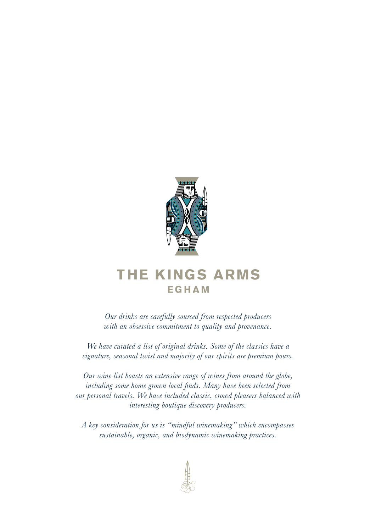

# **THE KINGS ARMS EGHAM**

*Our drinks are carefully sourced from respected producers with an obsessive commitment to quality and provenance.*

*We have curated a list of original drinks. Some of the classics have a signature, seasonal twist and majority of our spirits are premium pours.*

*Our wine list boasts an extensive range of wines from around the globe, including some home grown local finds. Many have been selected from our personal travels. We have included classic, crowd pleasers balanced with interesting boutique discovery producers.* 

*A key consideration for us is "mindful winemaking" which encompasses sustainable, organic, and biodynamic winemaking practices.*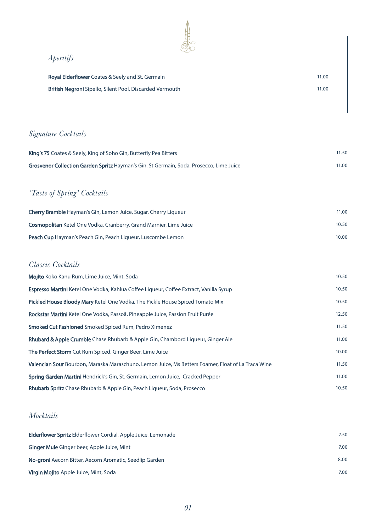#### *Aperitifs*

| <b>Royal Elderflower</b> Coates & Seely and St. Germain         | 11.00 |
|-----------------------------------------------------------------|-------|
| <b>British Negroni</b> Sipello, Silent Pool, Discarded Vermouth | 11.00 |

#### *Signature Cocktails*

| <b>King's 75</b> Coates & Seely, King of Soho Gin, Butterfly Pea Bitters                | 11.50 |
|-----------------------------------------------------------------------------------------|-------|
| Grosvenor Collection Garden Spritz Hayman's Gin, St Germain, Soda, Prosecco, Lime Juice | 11.00 |
|                                                                                         |       |
| <i>'Taste of Spring' Cocktails</i>                                                      |       |
| <b>Cherry Bramble</b> Hayman's Gin, Lemon Juice, Sugar, Cherry Liqueur                  | 11.00 |
| <b>Cosmopolitan</b> Ketel One Vodka, Cranberry, Grand Marnier, Lime Juice               | 10.50 |
| <b>Peach Cup</b> Hayman's Peach Gin, Peach Liqueur, Luscombe Lemon                      | 10.00 |

#### *Classic Cocktails*

| <b>Mojito</b> Koko Kanu Rum, Lime Juice, Mint, Soda                                                | 10.50 |
|----------------------------------------------------------------------------------------------------|-------|
| <b>Espresso Martini</b> Ketel One Vodka, Kahlua Coffee Liqueur, Coffee Extract, Vanilla Syrup      | 10.50 |
| Pickled House Bloody Mary Ketel One Vodka, The Pickle House Spiced Tomato Mix                      | 10.50 |
| Rockstar Martini Ketel One Vodka, Passoã, Pineapple Juice, Passion Fruit Purée                     | 12.50 |
| <b>Smoked Cut Fashioned</b> Smoked Spiced Rum, Pedro Ximenez                                       | 11.50 |
| <b>Rhubard &amp; Apple Crumble</b> Chase Rhubarb & Apple Gin, Chambord Liqueur, Ginger Ale         | 11.00 |
| The Perfect Storm Cut Rum Spiced, Ginger Beer, Lime Juice                                          | 10.00 |
| Valencian Sour Bourbon, Maraska Maraschuno, Lemon Juice, Ms Betters Foamer, Float of La Traca Wine | 11.50 |
| Spring Garden Martini Hendrick's Gin, St. Germain, Lemon Juice, Cracked Pepper                     | 11.00 |
| <b>Rhubarb Spritz</b> Chase Rhubarb & Apple Gin, Peach Liqueur, Soda, Prosecco                     | 10.50 |

#### *Mocktails*

| <b>Elderflower Spritz</b> Elderflower Cordial, Apple Juice, Lemonade | 7.50 |
|----------------------------------------------------------------------|------|
| <b>Ginger Mule</b> Ginger beer, Apple Juice, Mint                    | 7.00 |
| No-groni Aecorn Bitter, Aecorn Aromatic, Seedlip Garden              | 8.00 |
| <b>Virgin Mojito</b> Apple Juice, Mint, Soda                         | 7.00 |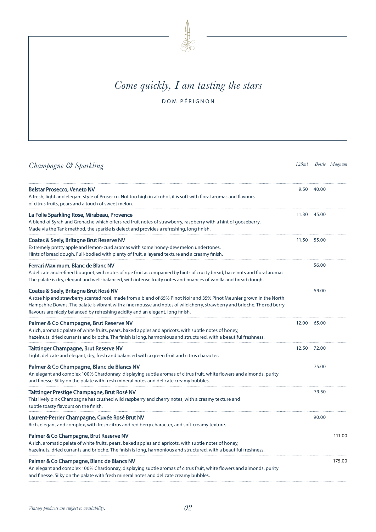

# *Come quickly, I am tasting the stars*

DOM PÉRIGNON

## *Champagne & Sparkling 125ml Bottle Magnum*

| <b>Belstar Prosecco, Veneto NV</b><br>A fresh, light and elegant style of Prosecco. Not too high in alcohol, it is soft with floral aromas and flavours<br>of citrus fruits, pears and a touch of sweet melon.                                                                                                                                                                | 9.50  | - 40.00 |        |
|-------------------------------------------------------------------------------------------------------------------------------------------------------------------------------------------------------------------------------------------------------------------------------------------------------------------------------------------------------------------------------|-------|---------|--------|
| La Folie Sparkling Rose, Mirabeau, Provence<br>A blend of Syrah and Grenache which offers red fruit notes of strawberry, raspberry with a hint of gooseberry.<br>Made via the Tank method, the sparkle is delect and provides a refreshing, long finish.                                                                                                                      | 11.30 | 45.00   |        |
| Coates & Seely, Britagne Brut Reserve NV<br>Extremely pretty apple and lemon-curd aromas with some honey-dew melon undertones.<br>Hints of bread dough. Full-bodied with plenty of fruit, a layered texture and a creamy finish.                                                                                                                                              | 11.50 | 55.00   |        |
| Ferrari Maximum, Blanc de Blanc NV<br>A delicate and refined bouquet, with notes of ripe fruit accompanied by hints of crusty bread, hazelnuts and floral aromas.<br>The palate is dry, elegant and well-balanced, with intense fruity notes and nuances of vanilla and bread dough.                                                                                          |       | 56.00   |        |
| Coates & Seely, Britagne Brut Rosé NV<br>A rose hip and strawberry scented rosé, made from a blend of 65% Pinot Noir and 35% Pinot Meunier grown in the North<br>Hampshire Downs. The palate is vibrant with a fine mousse and notes of wild cherry, strawberry and brioche. The red berry<br>flavours are nicely balanced by refreshing acidity and an elegant, long finish. |       | 59.00   |        |
| Palmer & Co Champagne, Brut Reserve NV<br>A rich, aromatic palate of white fruits, pears, baked apples and apricots, with subtle notes of honey,<br>hazelnuts, dried currants and brioche. The finish is long, harmonious and structured, with a beautiful freshness.                                                                                                         | 12.00 | 65.00   |        |
| <b>Taittinger Champagne, Brut Reserve NV</b><br>Light, delicate and elegant; dry, fresh and balanced with a green fruit and citrus character.                                                                                                                                                                                                                                 | 12.50 | 72.00   |        |
| Palmer & Co Champagne, Blanc de Blancs NV<br>An elegant and complex 100% Chardonnay, displaying subtle aromas of citrus fruit, white flowers and almonds, purity<br>and finesse. Silky on the palate with fresh mineral notes and delicate creamy bubbles.                                                                                                                    |       | 75.00   |        |
| Taittinger Prestige Champagne, Brut Rosé NV<br>This lively pink Champagne has crushed wild raspberry and cherry notes, with a creamy texture and<br>subtle toasty flavours on the finish.                                                                                                                                                                                     |       | 79.50   |        |
| Laurent-Perrier Champagne, Cuvée Rosé Brut NV<br>Rich, elegant and complex, with fresh citrus and red berry character, and soft creamy texture.                                                                                                                                                                                                                               |       | 90.00   |        |
| Palmer & Co Champagne, Brut Reserve NV<br>A rich, aromatic palate of white fruits, pears, baked apples and apricots, with subtle notes of honey,<br>hazelnuts, dried currants and brioche. The finish is long, harmonious and structured, with a beautiful freshness.                                                                                                         |       |         | 111.00 |
| Palmer & Co Champagne, Blanc de Blancs NV<br>An elegant and complex 100% Chardonnay, displaying subtle aromas of citrus fruit, white flowers and almonds, purity<br>and finesse. Silky on the palate with fresh mineral notes and delicate creamy bubbles.                                                                                                                    |       |         | 175.00 |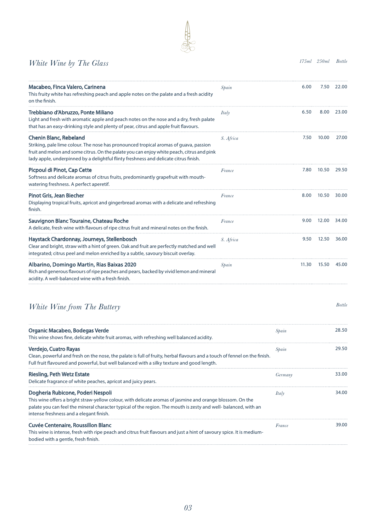#### *White Wine by The Glass 175ml 250ml Bottle*

| 6.00  | 7.50  | 22.00 |
|-------|-------|-------|
| 6.50  | 8.00  | 23.00 |
| 7.50  | 10.00 | 27.00 |
| 7.80  | 10.50 | 29.50 |
| 8.00  | 10.50 | 30.00 |
| 9.00  | 12.00 | 34.00 |
| 9.50  | 12.50 | 36.00 |
| 11.30 | 15.50 | 45.00 |
|       |       |       |

#### *White Wine from The Buttery Bottle*

| Organic Macabeo, Bodegas Verde<br>This wine shows fine, delicate white fruit aromas, with refreshing well balanced acidity.                                                                                                                                                                                 | Spain   | 28.50 |
|-------------------------------------------------------------------------------------------------------------------------------------------------------------------------------------------------------------------------------------------------------------------------------------------------------------|---------|-------|
| Verdejo, Cuatro Rayas<br>Clean, powerful and fresh on the nose, the palate is full of fruity, herbal flavours and a touch of fennel on the finish.<br>Full fruit flavoured and powerful, but well balanced with a silky texture and good length.                                                            | Spain   | 29.50 |
| Riesling, Peth Wetz Estate<br>Delicate fragrance of white peaches, apricot and juicy pears.                                                                                                                                                                                                                 | Germany | 33.00 |
| Dogheria Rubicone, Poderi Nespoli<br>This wine offers a bright straw-yellow colour, with delicate aromas of jasmine and orange blossom. On the<br>palate you can feel the mineral character typical of the region. The mouth is zesty and well-balanced, with an<br>intense freshness and a elegant finish. | Italy   | 34.00 |
| Cuvée Centenaire, Roussillon Blanc<br>This wine is intense, fresh with ripe peach and citrus fruit flavours and just a hint of savoury spice. It is medium-<br>bodied with a gentle, fresh finish.                                                                                                          | France  | 39.00 |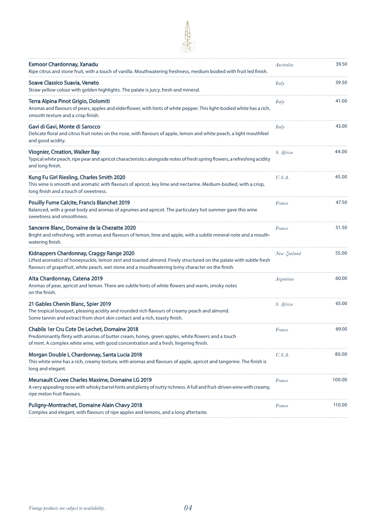| <b>Exmoor Chardonnay, Xanadu</b><br>Ripe citrus and stone fruit, with a touch of vanilla. Mouthwatering freshness, medium bodied with fruit led finish.                                                                                                            | Australia   | 39.50  |
|--------------------------------------------------------------------------------------------------------------------------------------------------------------------------------------------------------------------------------------------------------------------|-------------|--------|
| Soave Classico Suavia, Veneto<br>Straw yellow colour with golden highlights. The palate is juicy, fresh and mineral.                                                                                                                                               | Italy       | 39.50  |
| Terra Alpina Pinot Grigio, Dolomiti<br>Aromas and flavours of pears, apples and elderflower, with hints of white pepper. This light-bodied white has a rich,<br>smooth texture and a crisp finish.                                                                 | Italy       | 41.00  |
| Gavi di Gavi, Monte di Sarocco<br>Delicate floral and citrus fruit notes on the nose, with flavours of apple, lemon and white peach, a light mouthfeel<br>and good acidity.                                                                                        | Italy       | 43.00  |
| <b>Viognier, Creation, Walker Bay</b><br>Typical white peach, ripe pear and apricot characteristics alongside notes of fresh spring flowers, a refreshing acidity<br>and long finish.                                                                              | S. Africa   | 44.00  |
| Kung Fu Girl Riesling, Charles Smith 2020<br>This wine is smooth and aromatic with flavours of apricot, key lime and nectarine. Medium-bodied, with a crisp,<br>long finish and a touch of sweetness.                                                              | U.S.A.      | 45.00  |
| <b>Pouilly Fume Calcite, Francis Blanchet 2019</b><br>Balanced, with a great body and aromas of agrumes and apricot. The particulary hot summer gave this wine<br>sweetness and smoothness.                                                                        | France      | 47.50  |
| Sancerre Blanc, Domaine de la Chezatte 2020<br>Bright and refreshing, with aromas and flavours of lemon, lime and apple, with a subtle mineral note and a mouth-<br>watering finish.                                                                               | France      | 51.50  |
| Kidnappers Chardonnay, Craggy Range 2020<br>Lifted aromatics of honeysuckle, lemon zest and toasted almond. Finely structured on the palate with subtle fresh<br>flavours of grapefruit, white peach, wet stone and a mouthwatering briny character on the finish. | New Zealand | 55.00  |
| Alta Chardonnay, Catena 2019<br>Aromas of pear, apricot and lemon. There are subtle hints of white flowers and warm, smoky notes<br>on the finish.                                                                                                                 | Argentina   | 60.00  |
| 21 Gables Chenin Blanc, Spier 2019<br>The tropical bouquet, pleasing acidity and rounded rich flavours of creamy peach and almond.<br>Some tannin and extract from short skin contact and a rich, toasty finish.                                                   | S. Africa   | 65.00  |
| <b>Chablis 1er Cru Cote De Lechet, Domaine 2018</b><br>Predominantly flinty with aromas of butter cream, honey, green apples, white flowers and a touch<br>of mint. A complex white wine, with good concentration and a fresh, lingering finish.                   | France      | 69.00  |
| Morgan Double L Chardonnay, Santa Lucia 2018<br>This white wine has a rich, creamy texture, with aromas and flavours of apple, apricot and tangerine. The finish is<br>long and elegant.                                                                           | U.S.A.      | 80.00  |
| <b>Meursault Cuvee Charles Maxime, Domaine LG 2019</b><br>A very appealing nose with whisky barrel hints and plenty of nutty richness. A full and fruit-driven wine with creamy,<br>ripe melon fruit flavours.                                                     | France      | 100.00 |
| Puligny-Montrachet, Domaine Alain Chavy 2018<br>Complex and elegant, with flavours of ripe apples and lemons, and a long aftertaste.                                                                                                                               | France      | 110.00 |

 $\bigoplus$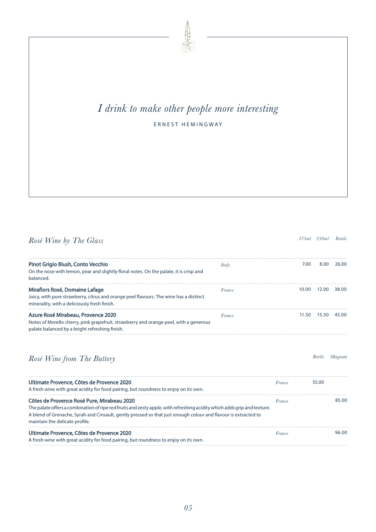# *I drink to make other people more interesting* ERNEST HEMINGWAY

Pinot Grigio Blush, Conto Vecchio On the nose with lemon, pear and slightly floral notes. On the palate, it is crisp and balanced. *Italy* 7.00 8.00 26.00 Miraflors Rosé, Domaine Lafage Juicy, with pure strawberry, citrus and orange peel flavours. The wine has a distinct minerality, with a deliciously fresh finish. *France* 10.00 12.90 38.00 Azure Rosé Mirabeau, Provence 2020 Notes of Morello cherry, pink grapefruit, strawberry and orange peel, with a generous palate balanced by a bright refreshing finish. *France* 11.50 15.50 45.00

*Rosé Wine from The Buttery Bottle Magnum*

| Magnum |
|--------|
|        |

| Ultimate Provence, Côtes de Provence 2020<br>A fresh wine with great acidity for food pairing, but roundness to enjoy on its own.                                                                                                                                                                                          | France | 55.00 |
|----------------------------------------------------------------------------------------------------------------------------------------------------------------------------------------------------------------------------------------------------------------------------------------------------------------------------|--------|-------|
| Côtes de Provence Rosé Pure, Mirabeau 2020<br>The palate offers a combination of ripe red fruits and zesty apple, with refreshing acidity which adds grip and texture.<br>A blend of Grenache, Syrah and Cinsault, gently pressed so that just enough colour and flavour is extracted to<br>maintain the delicate profile. | France | 85.00 |
| Ultimate Provence, Côtes de Provence 2020<br>A fresh wine with great acidity for food pairing, but roundness to enjoy on its own.                                                                                                                                                                                          | France | 96.00 |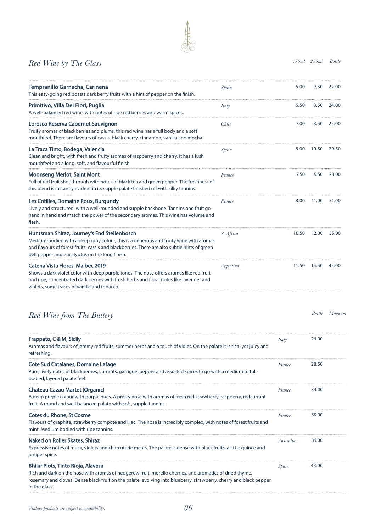#### *Red Wine by The Glass 175ml 250ml Bottle*

| Tempranillo Garnacha, Carinena<br>This easy-going red boasts dark berry fruits with a hint of pepper on the finish.                                                                                                                                                                    | Spain        | 6.00  | 7.50          | - 22.00 |
|----------------------------------------------------------------------------------------------------------------------------------------------------------------------------------------------------------------------------------------------------------------------------------------|--------------|-------|---------------|---------|
| Primitivo, Villa Dei Fiori, Puglia<br>A well-balanced red wine, with notes of ripe red berries and warm spices.                                                                                                                                                                        | <i>Italy</i> | 6.50  | 8.50          | 24.00   |
| Lorosco Reserva Cabernet Sauvignon<br>Fruity aromas of blackberries and plums, this red wine has a full body and a soft<br>mouthfeel. There are flavours of cassis, black cherry, cinnamon, vanilla and mocha.                                                                         | Chile        | 7.00  | 8.50          | 25.00   |
| La Traca Tinto, Bodega, Valencia<br>Clean and bright, with fresh and fruity aromas of raspberry and cherry. It has a lush<br>mouthfeel and a long, soft, and flavourful finish.                                                                                                        | Spain        | 8.00  | 10.50         | 29.50   |
| <b>Moonseng Merlot, Saint Mont</b><br>Full of red fruit shot through with notes of black tea and green pepper. The freshness of<br>this blend is instantly evident in its supple palate finished off with silky tannins.                                                               | France       | 7.50  | 9.50          | 28.00   |
| Les Cotilles, Domaine Roux, Burgundy<br>Lively and structured, with a well-rounded and supple backbone. Tannins and fruit go<br>hand in hand and match the power of the secondary aromas. This wine has volume and<br>flesh.                                                           | France       | 8.00  | 11.00         | 31.00   |
| Huntsman Shiraz, Journey's End Stellenbosch<br>Medium-bodied with a deep ruby colour, this is a generous and fruity wine with aromas<br>and flavours of forest fruits, cassis and blackberries. There are also subtle hints of green<br>bell pepper and eucalyptus on the long finish. | S. Africa    | 10.50 | 12.00         | 35.00   |
| Catena Vista Flores, Malbec 2019<br>Shows a dark violet color with deep purple tones. The nose offers aromas like red fruit<br>and ripe, concentrated dark berries with fresh herbs and floral notes like lavender and<br>violets, some traces of vanilla and tobacco.                 | Argentina    | 11.50 | 15.50         | 45.00   |
| Red Wine from The Buttery                                                                                                                                                                                                                                                              |              |       | <b>Bottle</b> | Magnun  |

| Frappato, C & M, Sicily<br>Aromas and flavours of jammy red fruits, summer herbs and a touch of violet. On the palate it is rich, yet juicy and<br>refreshing.                                                                                                                        | Italy     | 26.00 |
|---------------------------------------------------------------------------------------------------------------------------------------------------------------------------------------------------------------------------------------------------------------------------------------|-----------|-------|
| Cote Sud Catalanes, Domaine Lafage<br>Pure, lively notes of blackberries, currants, garrigue, pepper and assorted spices to go with a medium to full-<br>bodied, layered palate feel.                                                                                                 | France    | 28.50 |
| Chateau Cazau Martet (Organic)<br>A deep purple colour with purple hues. A pretty nose with aromas of fresh red strawberry, raspberry, redcurrant<br>fruit. A round and well balanced palate with soft, supple tannins.                                                               | France    | 33.00 |
| <b>Cotes du Rhone, St Cosme</b><br>Flavours of graphite, strawberry compote and lilac. The nose is incredibly complex, with notes of forest fruits and<br>mint. Medium bodied with ripe tannins.                                                                                      | France    | 39.00 |
| Naked on Roller Skates, Shiraz<br>Expressive notes of musk, violets and charcuterie meats. The palate is dense with black fruits, a little quince and<br>juniper spice.                                                                                                               | Australia | 39.00 |
| Bhilar Plots, Tinto Rioja, Alavesa<br>Rich and dark on the nose with aromas of hedgerow fruit, morello cherries, and aromatics of dried thyme,<br>rosemary and cloves. Dense black fruit on the palate, evolving into blueberry, strawberry, cherry and black pepper<br>in the glass. | Spain     | 43.00 |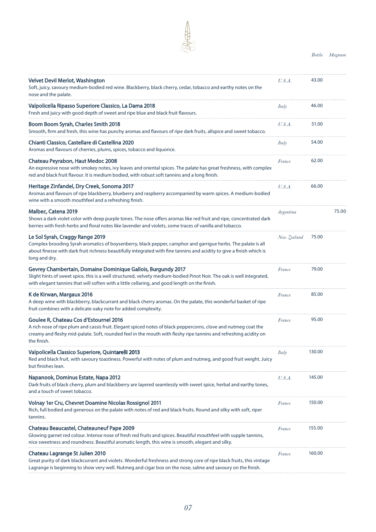*Bottle Magnum*

| Velvet Devil Merlot, Washington<br>Soft, juicy, savoury medium-bodied red wine. Blackberry, black cherry, cedar, tobacco and earthy notes on the<br>nose and the palate.                                                                                                                     | U.S.A.      | 43.00  |       |
|----------------------------------------------------------------------------------------------------------------------------------------------------------------------------------------------------------------------------------------------------------------------------------------------|-------------|--------|-------|
| Valpolicella Ripasso Superiore Classico, La Dama 2018<br>Fresh and juicy with good depth of sweet and ripe blue and black fruit flavours.                                                                                                                                                    | Italy       | 46.00  |       |
| Boom Boom Syrah, Charles Smith 2018<br>Smooth, firm and fresh, this wine has punchy aromas and flavours of ripe dark fruits, allspice and sweet tobacco.                                                                                                                                     | U.S.A.      | 51.00  |       |
| Chianti Classico, Castellare di Castellina 2020<br>Aromas and flavours of cherries, plums, spices, tobacco and liquorice.                                                                                                                                                                    | Italy       | 54.00  |       |
| <b>Chateau Peyrabon, Haut Medoc 2008</b><br>An expressive nose with smokey notes, ivy leaves and oriental spices. The palate has great freshness, with complex<br>red and black fruit flavour. It is medium bodied, with robust soft tannins and a long finish.                              | France      | 62.00  |       |
| Heritage Zinfandel, Dry Creek, Sonoma 2017<br>Aromas and flavours of ripe blackberry, blueberry and raspberry accompanied by warm spices. A medium-bodied<br>wine with a smooth mouthfeel and a refreshing finish.                                                                           | U.S.A.      | 66.00  |       |
| Malbec, Catena 2019<br>Shows a dark violet color with deep purple tones. The nose offers aromas like red fruit and ripe, concentrated dark<br>berries with fresh herbs and floral notes like lavender and violets, some traces of vanilla and tobacco.                                       | Argentina   |        | 75.00 |
| Le Sol Syrah, Craggy Range 2019<br>Complex brooding Syrah aromatics of boysenberry, black pepper, camphor and garrigue herbs. The palate is all<br>about finesse with dark fruit richness beautifully integrated with fine tannins and acidity to give a finish which is<br>long and dry.    | New Zealand | 75.00  |       |
| Gevrey Chambertain, Domaine Dominique Gallois, Burgundy 2017<br>Slight hints of sweet spice, this is a well structured, velvety medium-bodied Pinot Noir. The oak is well integrated,<br>with elegant tannins that will soften with a little cellaring, and good length on the finish.       | France      | 79.00  |       |
| K de Kirwan, Margaux 2016<br>A deep wine with blackberry, blackcurrant and black cherry aromas. On the palate, this wonderful basket of ripe<br>fruit combines with a delicate oaky note for added complexity.                                                                               | France      | 85.00  |       |
| Goulee R, Chateau Cos d'Estournel 2016<br>A rich nose of ripe plum and cassis fruit. Elegant spiced notes of black peppercorns, clove and nutmeg coat the<br>creamy and fleshy mid-palate. Soft, rounded feel in the mouth with fleshy ripe tannins and refreshing acidity on<br>the finish. | France      | 95.00  |       |
| Valpolicella Classico Superiore, Quintarelli 2013<br>Red and black fruit, with savoury toastiness. Powerful with notes of plum and nutmeg, and good fruit weight. Juicy<br>but finishes lean.                                                                                                | Italy       | 130.00 |       |
| Napanook, Dominus Estate, Napa 2012<br>Dark fruits of black cherry, plum and blackberry are layered seamlessly with sweet spice, herbal and earthy tones,<br>and a touch of sweet tobacco.                                                                                                   | U.S.A.      | 145.00 |       |
| Volnay 1er Cru, Chevret Doamine Nicolas Rossignol 2011<br>Rich, full bodied and generous on the palate with notes of red and black fruits. Round and silky with soft, riper<br>tannins.                                                                                                      | France      | 150.00 |       |
| <b>Chateau Beaucastel, Chateauneuf Pape 2009</b><br>Glowing garnet red colour. Intense nose of fresh red fruits and spices. Beautiful mouthfeel with supple tannins,<br>nice sweetness and roundness. Beautiful aromatic length, this wine is smooth, elegant and silky.                     | France      | 155.00 |       |
| Chateau Lagrange St Julien 2010<br>Great purity of dark blackcurrant and violets. Wonderful freshness and strong core of ripe black fruits, this vintage<br>Lagrange is beginning to show very well. Nutmeg and cigar box on the nose, saline and savoury on the finish.                     | France      | 160.00 |       |

山家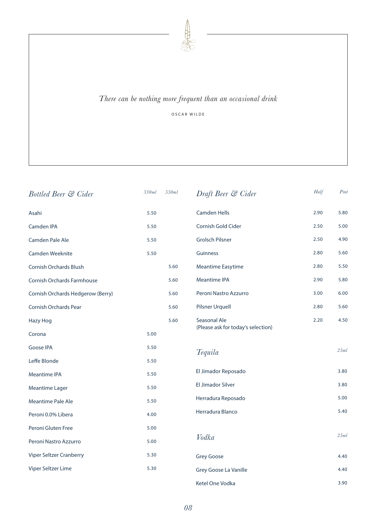

#### *There can be nothing more frequent than an occasional drink*

OSCAR WILDE

| <b>Bottled Beer &amp; Cider</b>   | 330ml | 550ml | Draft Beer & Cider                 | Half | Pint |
|-----------------------------------|-------|-------|------------------------------------|------|------|
| Asahi                             | 5.50  |       | <b>Camden Hells</b>                | 2.90 | 5.80 |
| <b>Camden IPA</b>                 | 5.50  |       | Cornish Gold Cider                 | 2.50 | 5.00 |
| Camden Pale Ale                   | 5.50  |       | <b>Grolsch Pilsner</b>             | 2.50 | 4.90 |
| Camden Weeknite                   | 5.50  |       | Guinness                           | 2.80 | 5.60 |
| Cornish Orchards Blush            |       | 5.60  | <b>Meantime Easytime</b>           | 2.80 | 5.50 |
| Cornish Orchards Farmhouse        |       | 5.60  | <b>Meantime IPA</b>                | 2.90 | 5.80 |
| Cornish Orchards Hedgerow (Berry) |       | 5.60  | Peroni Nastro Azzurro              | 3.00 | 6.00 |
| Cornish Orchards Pear             |       | 5.60  | <b>Pilsner Urquell</b>             | 2.80 | 5.60 |
| <b>Hazy Hog</b>                   |       | 5.60  | Seasonal Ale                       | 2.20 | 4.50 |
| Corona                            | 5.00  |       | (Please ask for today's selection) |      |      |
| <b>Goose IPA</b>                  | 5.50  |       | Tequila                            |      | 25ml |
| Leffe Blonde                      | 5.50  |       |                                    |      |      |
| <b>Meantime IPA</b>               | 5.50  |       | El Jimador Reposado                |      | 3.80 |
| <b>Meantime Lager</b>             | 5.50  |       | El Jimador Silver                  |      | 3.80 |
| <b>Meantime Pale Ale</b>          | 5.50  |       | Herradura Reposado                 |      | 5.00 |
| Peroni 0.0% Libera                | 4.00  |       | Herradura Blanco                   |      | 5.40 |
| Peroni Gluten Free                | 5.00  |       |                                    |      |      |
| Peroni Nastro Azzurro             | 5.00  |       | Vodka                              |      | 25ml |
| Viper Seltzer Cranberry           | 5.30  |       | <b>Grey Goose</b>                  |      | 4.40 |
| Viper Seltzer Lime                | 5.30  |       | Grey Goose La Vanille              |      | 4.40 |
|                                   |       |       | Ketel One Vodka                    |      | 3.90 |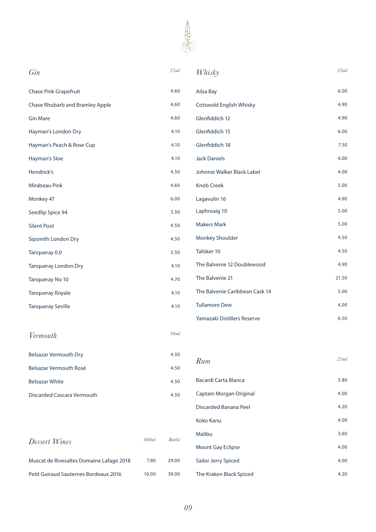

| Gin                                      |       | 25ml          | Whisky                         | 25ml  |
|------------------------------------------|-------|---------------|--------------------------------|-------|
| <b>Chase Pink Grapefruit</b>             |       | 4.60          | Ailsa Bay                      | 6.00  |
| <b>Chase Rhubarb and Bramley Apple</b>   |       | 4.60          | <b>Cotswold English Whisky</b> | 4.90  |
| <b>Gin Mare</b>                          |       | 4.60          | Glenfiddich 12                 | 4.90  |
| Hayman's London Dry                      |       | 4.10          | Glenfiddich 15                 | 6.00  |
| Hayman's Peach & Rose Cup                |       | 4.10          | Glenfiddich 18                 | 7.50  |
| Hayman's Sloe                            |       | 4.10          | <b>Jack Daniels</b>            | 4.00  |
| Hendrick's                               |       | 4.50          | Johnnie Walker Black Label     | 4.00  |
| Mirabeau Pink                            |       | 4.60          | Knob Creek                     | 5.00  |
| Monkey 47                                |       | 6.00          | Lagavulin 16                   | 4.90  |
| Seedlip Spice 94                         |       | 3.50          | Laphroaig 10                   | 5.00  |
| <b>Silent Pool</b>                       |       | 4.50          | <b>Makers Mark</b>             | 5.00  |
| Sipsmith London Dry                      |       | 4.50          | Monkey Shoulder                | 4.50  |
| Tanqueray 0.0                            |       | 3.50          | Talisker 10                    | 4.50  |
| <b>Tanqueray London Dry</b>              |       | 4.10          | The Balvenie 12 Doublewood     | 4.90  |
| Tanqueray No 10                          |       | 4.70          | The Balvenie 21                | 21.50 |
| <b>Tanqueray Royale</b>                  |       | 4.10          | The Balvenie Caribbean Cask 14 | 5.00  |
| <b>Tanqueray Seville</b>                 |       | 4.10          | <b>Tullamore Dew</b>           | 4.00  |
|                                          |       |               | Yamazaki Distillers Reserve    | 6.50  |
| Vermouth                                 |       | 50ml          |                                |       |
| <b>Belsazar Vermouth Dry</b>             |       | 4.50          |                                | 25ml  |
| Belsazar Vermouth Rosé                   |       | 4.50          | Rum                            |       |
| <b>Belsazar White</b>                    |       | 4.50          | Bacardi Carta Blanca           | 3.80  |
| <b>Discarded Cascara Vermouth</b>        |       | 4.50          | Captain Morgan Original        | 4.00  |
|                                          |       |               | Discarded Banana Peel          | 4.20  |
|                                          |       |               | Koko Kanu                      | 4.00  |
| Dessert Wines                            | 100ml | <b>Bottle</b> | Malibu                         | 3.60  |
|                                          |       |               | <b>Mount Gay Eclipse</b>       | 4.00  |
| Muscat de Rivesaltes Domaine Lafage 2018 | 7.80  | 29.00         | Sailor Jerry Spiced            | 4.00  |

Petit Guiraud Sauternes Bordeaux 2016 10.00 39.00

The Kraken Black Spiced 4.20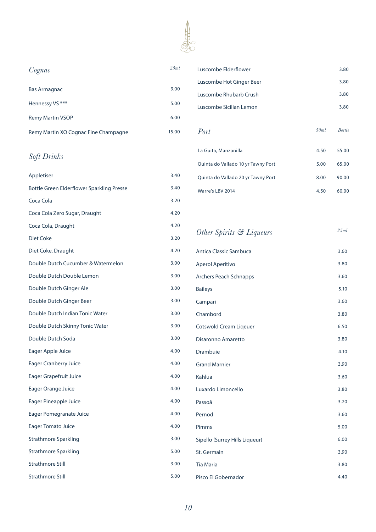

| Cognac                               | 25ml  |
|--------------------------------------|-------|
| <b>Bas Armagnac</b>                  | 9.00  |
| Hennessy VS ***                      | 5.00  |
| <b>Remy Martin VSOP</b>              | 6.00  |
| Remy Martin XO Cognac Fine Champagne | 15.00 |

#### *Soft Drinks*

| Appletiser                                | 3.40 |
|-------------------------------------------|------|
| Bottle Green Elderflower Sparkling Presse | 3.40 |
| Coca Cola                                 | 3.20 |
| Coca Cola Zero Sugar, Draught             | 4.20 |
| Coca Cola, Draught                        | 4.20 |
| Diet Coke                                 | 3.20 |
| Diet Coke, Draught                        | 4.20 |
| Double Dutch Cucumber & Watermelon        | 3.00 |
| Double Dutch Double Lemon                 | 3.00 |
| Double Dutch Ginger Ale                   | 3.00 |
| Double Dutch Ginger Beer                  | 3.00 |
| Double Dutch Indian Tonic Water           | 3.00 |
| Double Dutch Skinny Tonic Water           | 3.00 |
| Double Dutch Soda                         | 3.00 |
| Eager Apple Juice                         | 4.00 |
| <b>Eager Cranberry Juice</b>              | 4.00 |
| <b>Eager Grapefruit Juice</b>             | 4.00 |
| Eager Orange Juice                        | 4.00 |
| Eager Pineapple Juice                     | 4.00 |
| <b>Eager Pomegranate Juice</b>            | 4.00 |
| <b>Eager Tomato Juice</b>                 | 4.00 |
| <b>Strathmore Sparkling</b>               | 3.00 |
| Strathmore Sparkling                      | 5.00 |
| <b>Strathmore Still</b>                   | 3.00 |
| <b>Strathmore Still</b>                   | 5.00 |

| Cognac                                    | 25ml  | Luscombe Elderflower               |      | 3.80          |
|-------------------------------------------|-------|------------------------------------|------|---------------|
|                                           |       | Luscombe Hot Ginger Beer           |      | 3.80          |
| Bas Armagnac                              | 9.00  | Luscombe Rhubarb Crush             |      | 3.80          |
| Hennessy VS ***                           | 5.00  | Luscombe Sicilian Lemon            |      | 3.80          |
| <b>Remy Martin VSOP</b>                   | 6.00  |                                    |      |               |
| Remy Martin XO Cognac Fine Champagne      | 15.00 | Port                               | 50ml | <b>Bottle</b> |
| Soft Drinks                               |       | La Guita, Manzanilla               | 4.50 | 55.00         |
|                                           |       | Quinta do Vallado 10 yr Tawny Port | 5.00 | 65.00         |
| <b>Appletiser</b>                         | 3.40  | Quinta do Vallado 20 yr Tawny Port | 8.00 | 90.00         |
| Bottle Green Elderflower Sparkling Presse | 3.40  | Warre's LBV 2014                   | 4.50 | 60.00         |
|                                           |       |                                    |      |               |

### *Other Spirits & Liqueurs 25ml*

| <b>Antica Classic Sambuca</b>  | 3.60 |
|--------------------------------|------|
| Aperol Aperitivo               | 3.80 |
| <b>Archers Peach Schnapps</b>  | 3.60 |
| <b>Baileys</b>                 | 5.10 |
| Campari                        | 3.60 |
| Chambord                       | 3.80 |
| <b>Cotswold Cream Ligeuer</b>  | 6.50 |
| Disaronno Amaretto             | 3.80 |
| <b>Drambuie</b>                | 4.10 |
| <b>Grand Marnier</b>           | 3.90 |
| Kahlua                         | 3.60 |
| Luxardo Limoncello             | 3.80 |
| Passoã                         | 3.20 |
| Pernod                         | 3.60 |
| Pimms                          | 5.00 |
| Sipello (Surrey Hills Liqueur) | 6.00 |
| St. Germain                    | 3.90 |
| <b>Tia Maria</b>               | 3.80 |
| Pisco El Gobernador            | 4.40 |